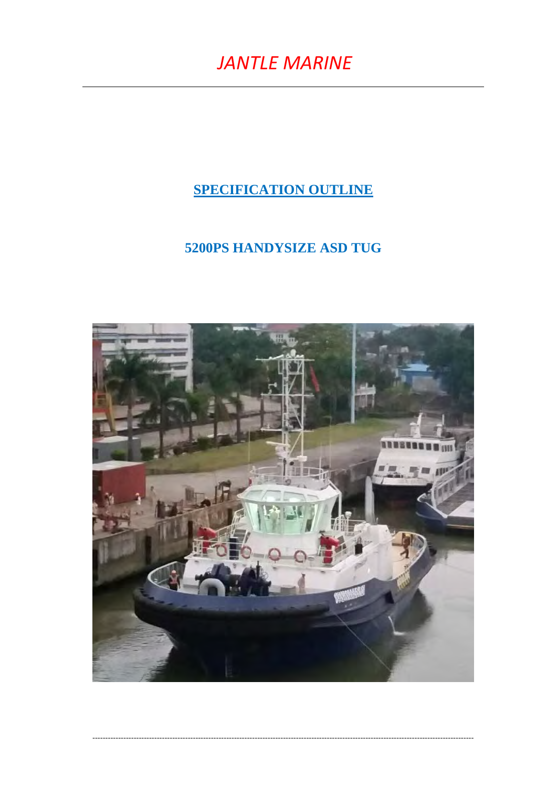# **SPECIFICATION OUTLINE**

# **5200PS HANDYSIZE ASD TUG**

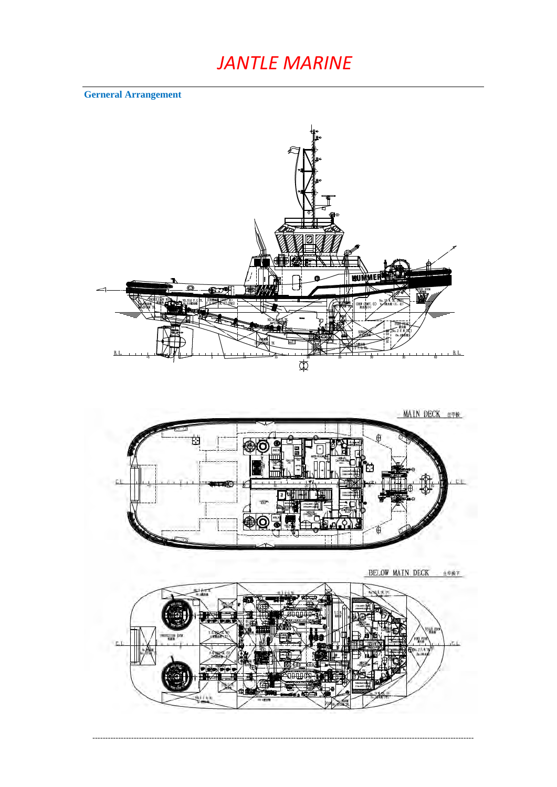**Gerneral Arrangement** 



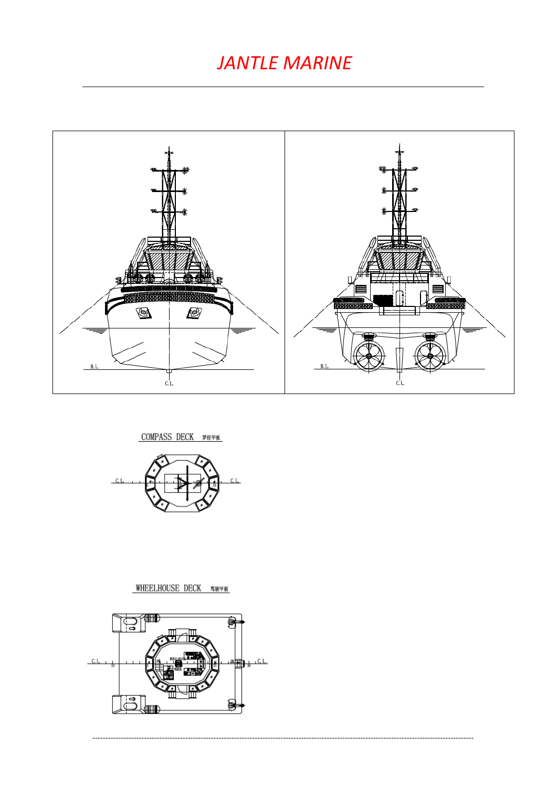

-------------------------

COMPASS DECK 罗经甲板



# WHEELHOUSE DECK 驾驶甲板

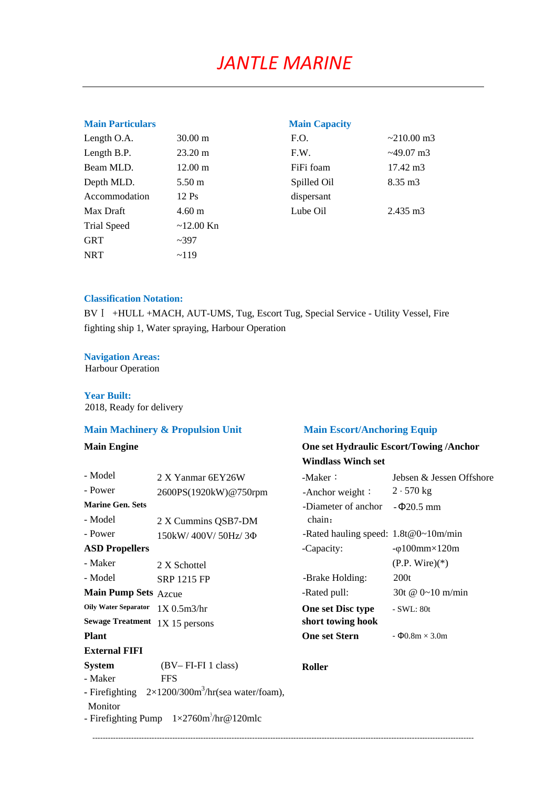| <b>Main Particulars</b> |                   | <b>Main Capacity</b> |                    |
|-------------------------|-------------------|----------------------|--------------------|
| Length O.A.             | $30.00 \text{ m}$ | F.O.                 | $\sim$ 210.00 m3   |
| Length B.P.             | $23.20 \text{ m}$ | F.W.                 | $\approx$ 49.07 m3 |
| Beam MLD.               | $12.00 \text{ m}$ | FiFi foam            | 17.42 m3           |
| Depth MLD.              | $5.50 \text{ m}$  | Spilled Oil          | $8.35 \text{ m}$ 3 |
| Accommodation           | $12 \text{Ps}$    | dispersant           |                    |
| Max Draft               | $4.60 \text{ m}$  | Lube Oil             | 2.435 m3           |
| <b>Trial Speed</b>      | $\sim$ 12.00 Kn   |                      |                    |
| <b>GRT</b>              | ~2397             |                      |                    |
| <b>NRT</b>              | ~119              |                      |                    |

## **Classification Notation:**

BVⅠ +HULL +MACH, AUT-UMS, Tug, Escort Tug, Special Service - Utility Vessel, Fire fighting ship 1, Water spraying, Harbour Operation

### **Navigation Areas:**

Harbour Operation

### **Year Built:**

2018, Ready for delivery

## **Main Machinery & Propulsion Unit Main Escort/Anchoring Equip**

# $-$  Model 2 X Yanmar 6EY26W - Power 2600PS(1920kW)@750rpm **Marine Gen. Sets** - Model 2 X Cummins QSB7-DM  $-$  Power 150kW/ 400V/ 50Hz/ 3 $\Phi$ **ASD Propellers**  $-$  Maker 2 X Schottel  $-Model$  SRP 1215 FP **Main Pump Sets** Azcue **Oily Water Separator**  $1X$  0.5m3/hr **Sewage Treatment** 1X 15 persons **Plant One set Stern** - Φ0.8m × 3.0m **External FIFI System** (BV– FI-FI 1 class) **Roller** - Maker FFS **-** Firefighting 2×1200/300m3 /hr(sea water/foam), Monitor - Firefighting Pump  $1 \times 2760 \text{m}^3/\text{hr} \textcircled{a} 120 \text{mlc}$

‐‐‐‐‐‐‐‐‐‐‐‐‐‐‐‐‐‐‐‐‐‐‐‐‐‐‐‐‐‐‐‐‐‐‐‐‐‐‐‐‐‐‐‐‐‐‐‐‐‐‐‐‐‐‐‐‐‐‐‐‐‐‐‐‐‐‐‐‐‐‐‐‐‐‐‐‐‐‐‐‐‐‐‐‐‐‐‐‐‐‐‐‐‐‐‐‐‐‐‐‐‐‐‐‐‐‐‐‐‐‐‐‐‐‐‐‐‐‐‐‐‐‐‐‐‐‐‐‐‐‐‐‐‐‐‐‐‐‐‐‐‐‐‐‐‐‐‐

# **Main Engine One set Hydraulic Escort/Towing /Anchor Windlass Winch set**

| -Maker:                                     | Jebsen & Jessen Offshore  |
|---------------------------------------------|---------------------------|
| -Anchor weight:                             | $2 \cdot 570$ kg          |
| -Diameter of anchor<br>chain:               | $ \Phi$ 20.5 mm           |
| -Rated hauling speed: $1.8t@0 \sim 10m/min$ |                           |
| -Capacity:                                  | -ø100mm×120m              |
|                                             | $(P.P. Wire)(*)$          |
| -Brake Holding:                             | 200t                      |
| -Rated pull:                                | 30t @ $0 \sim 10$ m/min   |
| <b>One set Disc type</b>                    | - SWL: 80t                |
| short towing hook                           |                           |
| <b>One set Stern</b>                        | - Ф $0.8$ m $\times$ 3.0m |